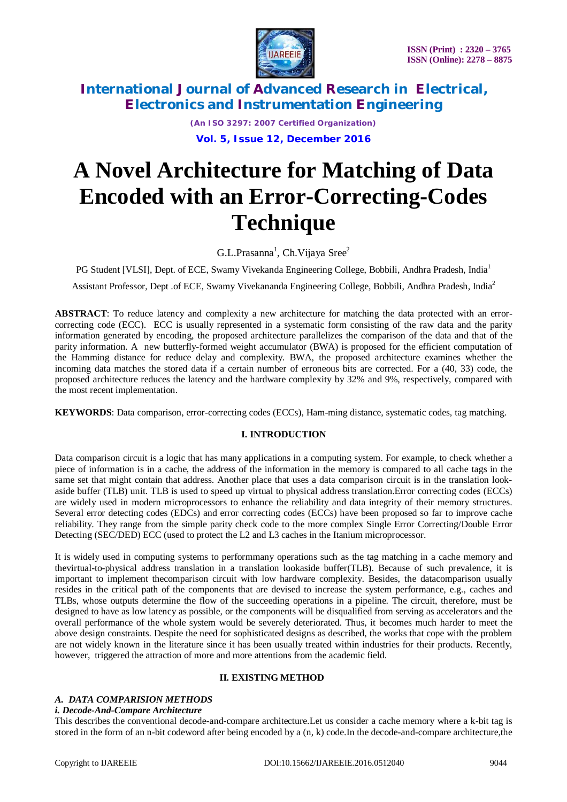

*(An ISO 3297: 2007 Certified Organization)* **Vol. 5, Issue 12, December 2016**

# **A Novel Architecture for Matching of Data Encoded with an Error-Correcting-Codes Technique**

G.L.Prasanna<sup>1</sup>, Ch.Vijaya Sree<sup>2</sup>

PG Student [VLSI], Dept. of ECE, Swamy Vivekanda Engineering College, Bobbili, Andhra Pradesh, India<sup>1</sup>

Assistant Professor, Dept .of ECE, Swamy Vivekananda Engineering College, Bobbili, Andhra Pradesh, India<sup>2</sup>

**ABSTRACT**: To reduce latency and complexity a new architecture for matching the data protected with an errorcorrecting code (ECC). ECC is usually represented in a systematic form consisting of the raw data and the parity information generated by encoding, the proposed architecture parallelizes the comparison of the data and that of the parity information. A new butterfly-formed weight accumulator (BWA) is proposed for the efficient computation of the Hamming distance for reduce delay and complexity. BWA, the proposed architecture examines whether the incoming data matches the stored data if a certain number of erroneous bits are corrected. For a (40, 33) code, the proposed architecture reduces the latency and the hardware complexity by 32% and 9%, respectively, compared with the most recent implementation.

**KEYWORDS**: Data comparison, error-correcting codes (ECCs), Ham-ming distance, systematic codes, tag matching.

### **I. INTRODUCTION**

Data comparison circuit is a logic that has many applications in a computing system. For example, to check whether a piece of information is in a cache, the address of the information in the memory is compared to all cache tags in the same set that might contain that address. Another place that uses a data comparison circuit is in the translation lookaside buffer (TLB) unit. TLB is used to speed up virtual to physical address translation.Error correcting codes (ECCs) are widely used in modern microprocessors to enhance the reliability and data integrity of their memory structures. Several error detecting codes (EDCs) and error correcting codes (ECCs) have been proposed so far to improve cache reliability. They range from the simple parity check code to the more complex Single Error Correcting/Double Error Detecting (SEC/DED) ECC (used to protect the L2 and L3 caches in the Itanium microprocessor.

It is widely used in computing systems to performmany operations such as the tag matching in a cache memory and thevirtual-to-physical address translation in a translation lookaside buffer(TLB). Because of such prevalence, it is important to implement thecomparison circuit with low hardware complexity. Besides, the datacomparison usually resides in the critical path of the components that are devised to increase the system performance, e.g., caches and TLBs, whose outputs determine the flow of the succeeding operations in a pipeline. The circuit, therefore, must be designed to have as low latency as possible, or the components will be disqualified from serving as accelerators and the overall performance of the whole system would be severely deteriorated. Thus, it becomes much harder to meet the above design constraints. Despite the need for sophisticated designs as described, the works that cope with the problem are not widely known in the literature since it has been usually treated within industries for their products. Recently, however, triggered the attraction of more and more attentions from the academic field.

### **II. EXISTING METHOD**

### *A. DATA COMPARISION METHODS*

### *i. Decode-And-Compare Architecture*

This describes the conventional decode-and-compare architecture.Let us consider a cache memory where a k-bit tag is stored in the form of an n-bit codeword after being encoded by a (n, k) code.In the decode-and-compare architecture,the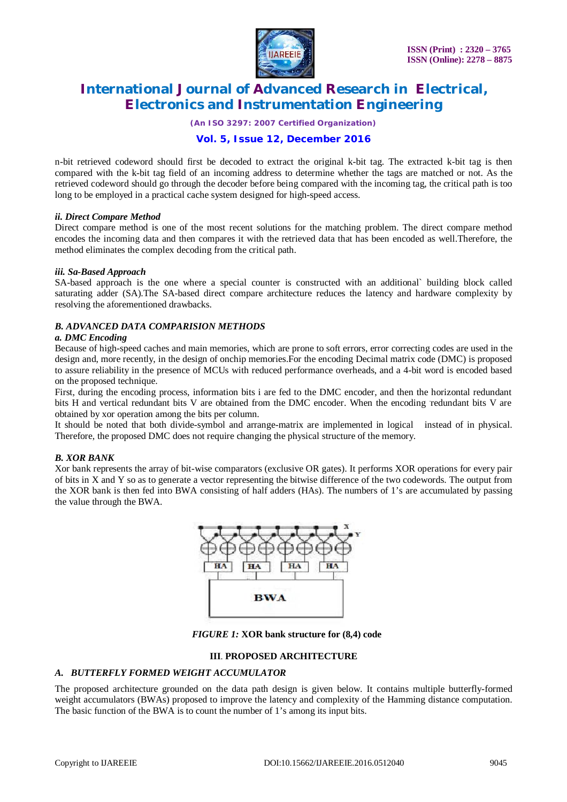

*(An ISO 3297: 2007 Certified Organization)*

### **Vol. 5, Issue 12, December 2016**

n-bit retrieved codeword should first be decoded to extract the original k-bit tag. The extracted k-bit tag is then compared with the k-bit tag field of an incoming address to determine whether the tags are matched or not. As the retrieved codeword should go through the decoder before being compared with the incoming tag, the critical path is too long to be employed in a practical cache system designed for high-speed access.

### *ii. Direct Compare Method*

Direct compare method is one of the most recent solutions for the matching problem. The direct compare method encodes the incoming data and then compares it with the retrieved data that has been encoded as well.Therefore, the method eliminates the complex decoding from the critical path.

### *iii. Sa-Based Approach*

SA-based approach is the one where a special counter is constructed with an additional` building block called saturating adder (SA).The SA-based direct compare architecture reduces the latency and hardware complexity by resolving the aforementioned drawbacks.

### *B. ADVANCED DATA COMPARISION METHODS*

### *a. DMC Encoding*

Because of high-speed caches and main memories, which are prone to soft errors, error correcting codes are used in the design and, more recently, in the design of onchip memories.For the encoding Decimal matrix code (DMC) is proposed to assure reliability in the presence of MCUs with reduced performance overheads, and a 4-bit word is encoded based on the proposed technique.

First, during the encoding process, information bits i are fed to the DMC encoder, and then the horizontal redundant bits H and vertical redundant bits V are obtained from the DMC encoder. When the encoding redundant bits V are obtained by xor operation among the bits per column.

It should be noted that both divide-symbol and arrange-matrix are implemented in logical instead of in physical. Therefore, the proposed DMC does not require changing the physical structure of the memory.

### *B. XOR BANK*

Xor bank represents the array of bit-wise comparators (exclusive OR gates). It performs XOR operations for every pair of bits in X and Y so as to generate a vector representing the bitwise difference of the two codewords. The output from the XOR bank is then fed into BWA consisting of half adders (HAs). The numbers of 1's are accumulated by passing the value through the BWA.



*FIGURE 1:* **XOR bank structure for (8,4) code**

### **III**. **PROPOSED ARCHITECTURE**

### *A. BUTTERFLY FORMED WEIGHT ACCUMULATOR*

The proposed architecture grounded on the data path design is given below. It contains multiple butterfly-formed weight accumulators (BWAs) proposed to improve the latency and complexity of the Hamming distance computation. The basic function of the BWA is to count the number of 1's among its input bits.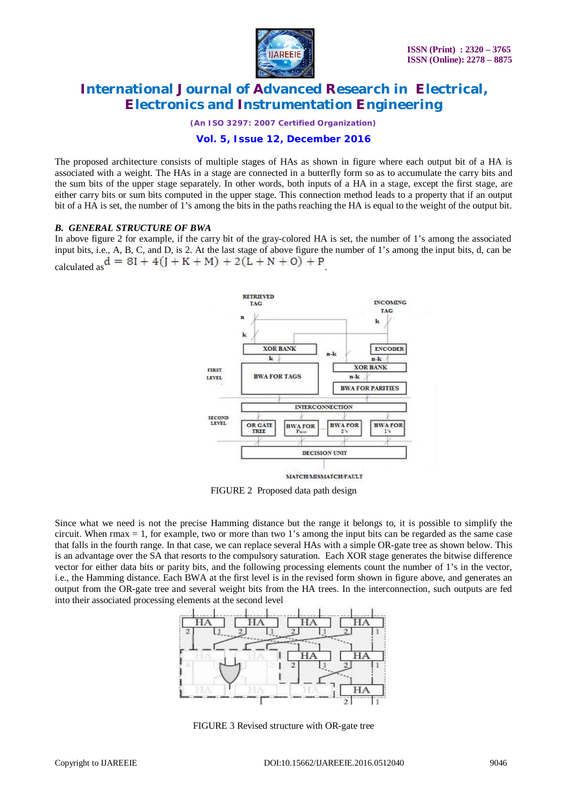

*(An ISO 3297: 2007 Certified Organization)*

### **Vol. 5, Issue 12, December 2016**

The proposed architecture consists of multiple stages of HAs as shown in figure where each output bit of a HA is associated with a weight. The HAs in a stage are connected in a butterfly form so as to accumulate the carry bits and the sum bits of the upper stage separately. In other words, both inputs of a HA in a stage, except the first stage, are either carry bits or sum bits computed in the upper stage. This connection method leads to a property that if an output bit of a HA is set, the number of 1's among the bits in the paths reaching the HA is equal to the weight of the output bit.

### *B. GENERAL STRUCTURE OF BWA*

In above figure 2 for example, if the carry bit of the gray-colored HA is set, the number of 1's among the associated input bits, i.e., A, B, C, and D, is 2. At the last stage of above figure the number of 1's among the input bits, d, can be calculated as  $d = 8I + 4(J + K + M) + 2(L + N + O) + P$ 



FIGURE 2 Proposed data path design

Since what we need is not the precise Hamming distance but the range it belongs to, it is possible to simplify the circuit. When rmax  $= 1$ , for example, two or more than two 1's among the input bits can be regarded as the same case that falls in the fourth range. In that case, we can replace several HAs with a simple OR-gate tree as shown below. This is an advantage over the SA that resorts to the compulsory saturation*.* Each XOR stage generates the bitwise difference vector for either data bits or parity bits, and the following processing elements count the number of 1's in the vector, i.e., the Hamming distance. Each BWA at the first level is in the revised form shown in figure above, and generates an output from the OR-gate tree and several weight bits from the HA trees. In the interconnection, such outputs are fed into their associated processing elements at the second level



FIGURE 3 Revised structure with OR-gate tree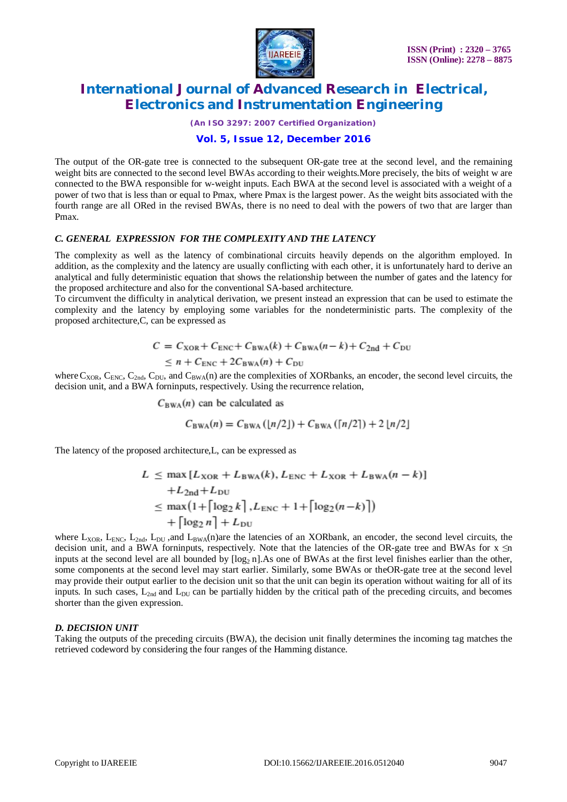

*(An ISO 3297: 2007 Certified Organization)*

### **Vol. 5, Issue 12, December 2016**

The output of the OR-gate tree is connected to the subsequent OR-gate tree at the second level, and the remaining weight bits are connected to the second level BWAs according to their weights.More precisely, the bits of weight w are connected to the BWA responsible for w-weight inputs. Each BWA at the second level is associated with a weight of a power of two that is less than or equal to Pmax, where Pmax is the largest power. As the weight bits associated with the fourth range are all ORed in the revised BWAs, there is no need to deal with the powers of two that are larger than Pmax.

### *C. GENERAL EXPRESSION FOR THE COMPLEXITY AND THE LATENCY*

The complexity as well as the latency of combinational circuits heavily depends on the algorithm employed. In addition, as the complexity and the latency are usually conflicting with each other, it is unfortunately hard to derive an analytical and fully deterministic equation that shows the relationship between the number of gates and the latency for the proposed architecture and also for the conventional SA-based architecture.

To circumvent the difficulty in analytical derivation, we present instead an expression that can be used to estimate the complexity and the latency by employing some variables for the nondeterministic parts. The complexity of the proposed architecture,C, can be expressed as

$$
C = CXOR + CENC + CBWA(k) + CBWA(n - k) + C2nd + CDU
$$
  

$$
\leq n + CENC + 2CBWA(n) + CDU
$$

where  $C_{XOR}$ ,  $C_{ENC}$ ,  $C_{2nd}$ ,  $C_{DU}$ , and  $C_{BWA}(n)$  are the complexities of XORbanks, an encoder, the second level circuits, the decision unit, and a BWA forninputs, respectively. Using the recurrence relation,

 $C_{BWA}(n)$  can be calculated as

$$
C_{BWA}(n) = C_{BWA}([n/2]) + C_{BWA}([n/2]) + 2[n/2]
$$

The latency of the proposed architecture,L, can be expressed as

$$
L \leq \max [L_{XOR} + L_{BWA}(k), L_{ENC} + L_{XOR} + L_{BWA}(n - k)]
$$
  
+
$$
L_{2nd} + L_{DU}
$$
  

$$
\leq \max (1 + \lceil \log_2 k \rceil, L_{ENC} + 1 + \lceil \log_2 (n - k) \rceil)
$$
  
+ 
$$
\lceil \log_2 n \rceil + L_{DU}
$$

where  $L_{XOR}$ ,  $L_{ENC}$ ,  $L_{2nd}$ ,  $L_{DU}$ , and  $L_{BWA}(n)$ are the latencies of an XORbank, an encoder, the second level circuits, the decision unit, and a BWA forninputs, respectively. Note that the latencies of the OR-gate tree and BWAs for  $x \le n$ inputs at the second level are all bounded by  $\lceil \log_2 n \rceil$ . As one of BWAs at the first level finishes earlier than the other, some components at the second level may start earlier. Similarly, some BWAs or theOR-gate tree at the second level may provide their output earlier to the decision unit so that the unit can begin its operation without waiting for all of its inputs. In such cases,  $L_{2nd}$  and  $L_{DU}$  can be partially hidden by the critical path of the preceding circuits, and becomes shorter than the given expression.

### *D. DECISION UNIT*

Taking the outputs of the preceding circuits (BWA), the decision unit finally determines the incoming tag matches the retrieved codeword by considering the four ranges of the Hamming distance.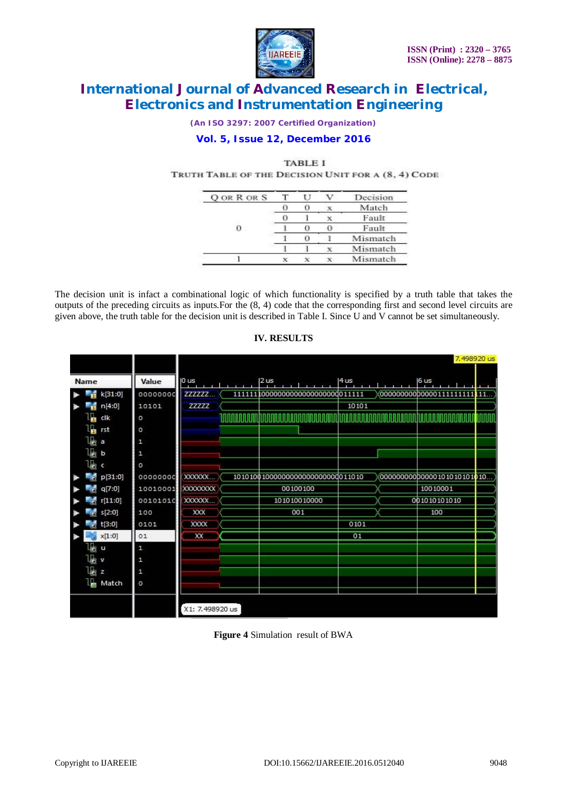

*(An ISO 3297: 2007 Certified Organization)*

### **Vol. 5, Issue 12, December 2016**

#### **TABLE I**

TRUTH TABLE OF THE DECISION UNIT FOR A (8, 4) CODE

| <b>OORRORS</b> |  | Decision |
|----------------|--|----------|
|                |  | Match    |
|                |  | Fault    |
|                |  | Faul     |
|                |  | Mismatch |
|                |  | Mismatch |
|                |  | Mismatch |

The decision unit is infact a combinational logic of which functionality is specified by a truth table that takes the outputs of the preceding circuits as inputs.For the (8, 4) code that the corresponding first and second level circuits are given above, the truth table for the decision unit is described in Table I. Since U and V cannot be set simultaneously.

|                                   |                 |                                    |       |                              | 7,498920 us |  |
|-----------------------------------|-----------------|------------------------------------|-------|------------------------------|-------------|--|
| Value<br><b>Name</b>              | 0 <sub>us</sub> | 2 us                               | 4 us  | 6 us                         |             |  |
| k[31:0]<br>H<br>00000000          | <b>ZZZZZZM</b>  | 111111100000000000000000000011111  |       | 0000000000000011111111111111 |             |  |
| ÷<br>n[4:0]<br>10101              | <b>ZZZZZ</b>    |                                    | 10101 |                              |             |  |
| Щ<br>clk<br>o                     |                 |                                    |       |                              |             |  |
| ц<br>rst<br>o                     |                 |                                    |       |                              |             |  |
| lka a<br>1                        |                 |                                    |       |                              |             |  |
| $\mathbb{I}_\mathbb{S}$<br>b<br>1 |                 |                                    |       |                              |             |  |
| 啺<br>o<br>ंट                      |                 |                                    |       |                              |             |  |
| p[31:0]<br>00000000               | XXXXXXX         | 1010100100000000000000000000011010 |       | 000000000000000101010101010  |             |  |
| ŕ.<br>q[7:0]<br>10010001          | XXXXXXXX        | 00100100                           |       | 10010001                     |             |  |
| r[11:0]<br>00101010<br>F.         | XXXXXXX         | 101010010000                       |       | 001010101010                 |             |  |
| s[2:0]<br>100                     | XXX             | 001                                |       | 100                          |             |  |
| t[3:0]<br>0101                    | <b>XXXX</b>     |                                    | 0101  |                              |             |  |
| x[1:0]<br>01                      | XX              |                                    | 01    |                              |             |  |
| 柀<br>1<br>Ľ.                      |                 |                                    |       |                              |             |  |
| <b>Listy</b><br>1                 |                 |                                    |       |                              |             |  |
| lk z<br>$\mathbf{1}$              |                 |                                    |       |                              |             |  |
| 16<br>Match<br>о                  |                 |                                    |       |                              |             |  |
|                                   |                 |                                    |       |                              |             |  |
|                                   | X1: 7.498920 us |                                    |       |                              |             |  |

### **IV. RESULTS**

**Figure 4** Simulation result of BWA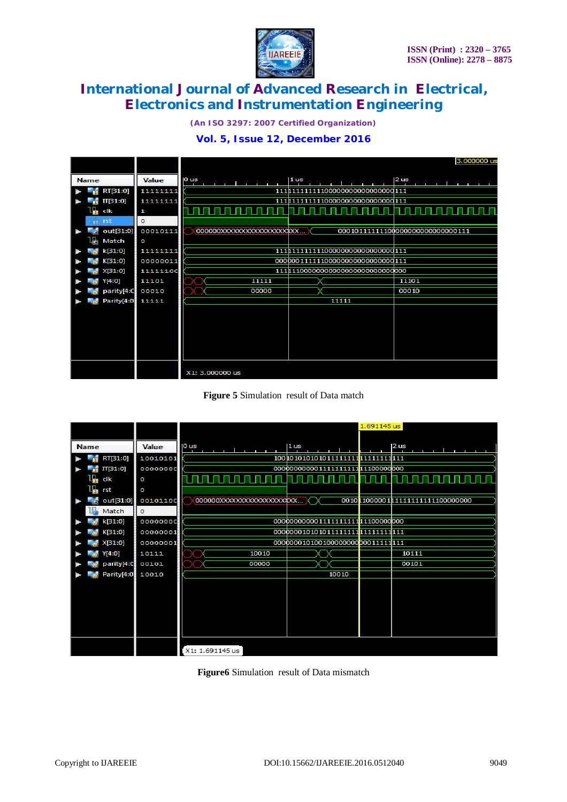

*(An ISO 3297: 2007 Certified Organization)*

### **Vol. 5, Issue 12, December 2016**

|                  |          | 3.000000 us                                                                                |  |  |  |  |  |
|------------------|----------|--------------------------------------------------------------------------------------------|--|--|--|--|--|
| Name             | Value    | 0 <sub>us</sub><br>2 us<br>1 <sub>us</sub><br>$\overline{1}$ $\overline{1}$ $\overline{1}$ |  |  |  |  |  |
| RT[31:0]         | 11111111 | 111111111111000000000000000000111                                                          |  |  |  |  |  |
| $\Pi[31:0]$      | 11111111 | 111111111111000000000000000000111                                                          |  |  |  |  |  |
| ь<br>clk         | 1        | <u> Islam da basan da basa</u><br><u> I I I I I I I I I I I I I I </u>                     |  |  |  |  |  |
| rst              | $\Omega$ |                                                                                            |  |  |  |  |  |
| out[31:0]        | 00010111 | 000101111111000000000000000000111<br>0000000XXXXXXXXXXXXXXXXXXX                            |  |  |  |  |  |
| Match            | $\circ$  |                                                                                            |  |  |  |  |  |
| k[31:0]          | 11111111 | 1111111111110000000000000000000111                                                         |  |  |  |  |  |
| K[31:0]          | 00000011 | 000000111111000000000000000000111                                                          |  |  |  |  |  |
| X[31:0]          | 11111100 | 11111100000000000000000000000000                                                           |  |  |  |  |  |
| Y[4:0]           | 11101    | 11101<br>11111                                                                             |  |  |  |  |  |
| parity[4:0 00010 |          | 00000<br>00010                                                                             |  |  |  |  |  |
| Parity[4:0]      | 11111    | 11111                                                                                      |  |  |  |  |  |
|                  |          |                                                                                            |  |  |  |  |  |
|                  |          |                                                                                            |  |  |  |  |  |
|                  |          |                                                                                            |  |  |  |  |  |
|                  |          |                                                                                            |  |  |  |  |  |
|                  |          |                                                                                            |  |  |  |  |  |
|                  |          |                                                                                            |  |  |  |  |  |
|                  |          | X1: 3.000000 us                                                                            |  |  |  |  |  |

### **Figure 5** Simulation result of Data match

|                  |          | 1.691145 us                                                                                                                |
|------------------|----------|----------------------------------------------------------------------------------------------------------------------------|
| Name             | Value    | 0 us<br>1 <sub>us</sub><br>2 us<br>$\mathbf{1}^{\prime}$ $\mathbf{1}^{\prime}$ $\mathbf{1}^{\prime}$ $\mathbf{1}^{\prime}$ |
| RT[31:0]         | 10010101 | 100 1010 1010 1011 1111 1111 1111 1111 111                                                                                 |
| $\Pi[31:0]$      | 00000000 | 00000000000111111111111111000000000                                                                                        |
| clk              | $\circ$  |                                                                                                                            |
| rst              | $\circ$  |                                                                                                                            |
| out[31:0]        | 00101100 | 000000XXXXXXXXXXXXXXXXXXXXX<br>0010 10000001 11111111111100000000                                                          |
| Match            | $\circ$  |                                                                                                                            |
| k[31:0]          | 00000000 | 000000000001111111111111100000000                                                                                          |
| K[31:0]          | 00000001 |                                                                                                                            |
| X[31:0]          | 00000001 | 000000010100100000000000011111111                                                                                          |
| Y[4:0]           | 10111    | 10010<br>10111                                                                                                             |
| parity[4:C 00101 |          | 00000<br>00101                                                                                                             |
| Parity[4:0]      | 10010    | 10010                                                                                                                      |
|                  |          |                                                                                                                            |
|                  |          |                                                                                                                            |
|                  |          |                                                                                                                            |
|                  |          |                                                                                                                            |
|                  |          |                                                                                                                            |
|                  |          |                                                                                                                            |
|                  |          |                                                                                                                            |
|                  |          | X1: 1.691145 us                                                                                                            |

**Figure6** Simulation result of Data mismatch